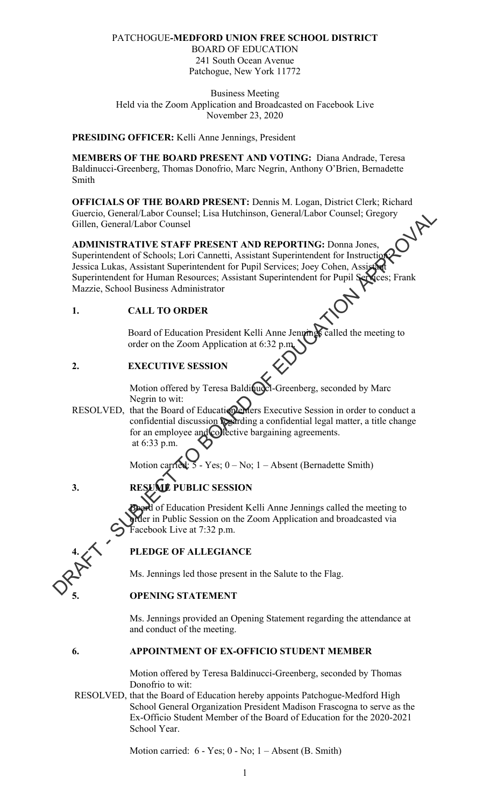## PATCHOGUE**-MEDFORD UNION FREE SCHOOL DISTRICT**

BOARD OF EDUCATION 241 South Ocean Avenue Patchogue, New York 11772

Business Meeting Held via the Zoom Application and Broadcasted on Facebook Live November 23, 2020

#### **PRESIDING OFFICER:** Kelli Anne Jennings, President

**MEMBERS OF THE BOARD PRESENT AND VOTING:** Diana Andrade, Teresa Baldinucci-Greenberg, Thomas Donofrio, Marc Negrin, Anthony O'Brien, Bernadette Smith

**OFFICIALS OF THE BOARD PRESENT:** Dennis M. Logan, District Clerk; Richard Guercio, General/Labor Counsel; Lisa Hutchinson, General/Labor Counsel; Gregory Gillen, General/Labor Counsel

# **ADMINISTRATIVE STAFF PRESENT AND REPORTING:** Donna Jones, Superintendent of Schools; Lori Cannetti, Assistant Superintendent for Instruction; Jessica Lukas, Assistant Superintendent for Pupil Services; Joey Cohen, Assistant Superintendent for Human Resources; Assistant Superintendent for Pupil Services; Frank Mazzie, School Business Administrator Guercio, General/Labor Counsel; Lisa Hutchinson, General/Labor Counsel; Gregory<br> **ADMINISTRATIVE STAFF PRESENT AND REPORTING:** Donna Jones,<br>
Superintendent of Schools: Lori Cannetti, Assistant Superintendent for Public Se

## **1. CALL TO ORDER**

Board of Education President Kelli Anne Jennings called the meeting to order on the Zoom Application at 6:32 p.m.

## **2. EXECUTIVE SESSION**

Motion offered by Teresa Baldinucci-Greenberg, seconded by Marc Negrin to wit:

RESOLVED, that the Board of Education enters Executive Session in order to conduct a confidential discussion regarding a confidential legal matter, a title change for an employee and collective bargaining agreements. at 6:33 p.m.

Motion carried:  $5 - Yes$ ;  $0 - No$ ;  $1 - Absent$  (Bernadette Smith)

## **3. RESUME PUBLIC SESSION**

H of Education President Kelli Anne Jennings called the meeting to er in Public Session on the Zoom Application and broadcasted via Facebook Live at 7:32 p.m.

## **4. PLEDGE OF ALLEGIANCE**

Ms. Jennings led those present in the Salute to the Flag.

## **5. OPENING STATEMENT**

Ms. Jennings provided an Opening Statement regarding the attendance at and conduct of the meeting.

## **6. APPOINTMENT OF EX-OFFICIO STUDENT MEMBER**

Motion offered by Teresa Baldinucci-Greenberg, seconded by Thomas Donofrio to wit:

RESOLVED, that the Board of Education hereby appoints Patchogue-Medford High School General Organization President Madison Frascogna to serve as the Ex-Officio Student Member of the Board of Education for the 2020-2021 School Year.

Motion carried: 6 - Yes; 0 - No; 1 – Absent (B. Smith)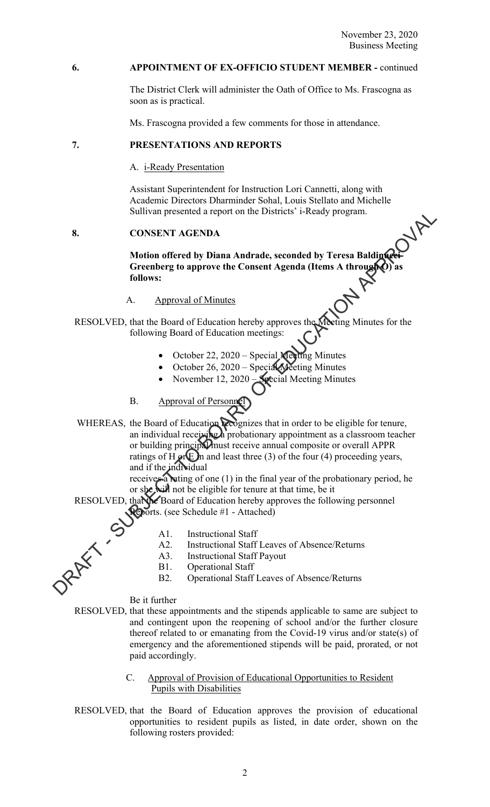#### **6. APPOINTMENT OF EX-OFFICIO STUDENT MEMBER -** continued

 The District Clerk will administer the Oath of Office to Ms. Frascogna as soon as is practical.

Ms. Frascogna provided a few comments for those in attendance.

## **7. PRESENTATIONS AND REPORTS**

A. i-Ready Presentation

 Assistant Superintendent for Instruction Lori Cannetti, along with Academic Directors Dharminder Sohal, Louis Stellato and Michelle Sullivan presented a report on the Districts' i-Ready program.

## **8. CONSENT AGENDA**

**Motion offered by Diana Andrade, seconded by Teresa Baldinucci-Greenberg to approve the Consent Agenda (Items A through O) as follows:** 

## A. Approval of Minutes

RESOLVED, that the Board of Education hereby approves the Meeting Minutes for the<br>following Board of Education meeting of following Board of Education meetings:

- October 22, 2020 Special Meeting Minutes
- October 26, 2020 Special Meeting Minutes
- November 12, 2020 Special Meeting Minutes
- B. Approval of Personnel

WHEREAS, the Board of Education recognizes that in order to be eligible for tenure, an individual receiving a probationary appointment as a classroom teacher or building principal must receive annual composite or overall APPR ratings of H  $\alpha$  E in and least three (3) of the four (4) proceeding years, and if the individual SURVain presented a report on the Districts i-Ready program.<br>
Motion offered by Diana Andrade, seconded by Teresa Balding<br>
Circulators (to approve the Consent Agenda (ltems A through Consent<br>
follows:<br>
A. Approval of Educ

receives a lating of one (1) in the final year of the probationary period, he or she will not be eligible for tenure at that time, be it

RESOLVED, that the Board of Education hereby approves the following personnel Reports. (see Schedule #1 - Attached)

A1. Instructional Staff

- A2. Instructional Staff Leaves of Absence/Returns
- A3. Instructional Staff Payout
- B1. Operational Staff
- B2. Operational Staff Leaves of Absence/Returns

Be it further

- RESOLVED, that these appointments and the stipends applicable to same are subject to and contingent upon the reopening of school and/or the further closure thereof related to or emanating from the Covid-19 virus and/or state(s) of emergency and the aforementioned stipends will be paid, prorated, or not paid accordingly.
	- C. Approval of Provision of Educational Opportunities to Resident Pupils with Disabilities
- RESOLVED, that the Board of Education approves the provision of educational opportunities to resident pupils as listed, in date order, shown on the following rosters provided: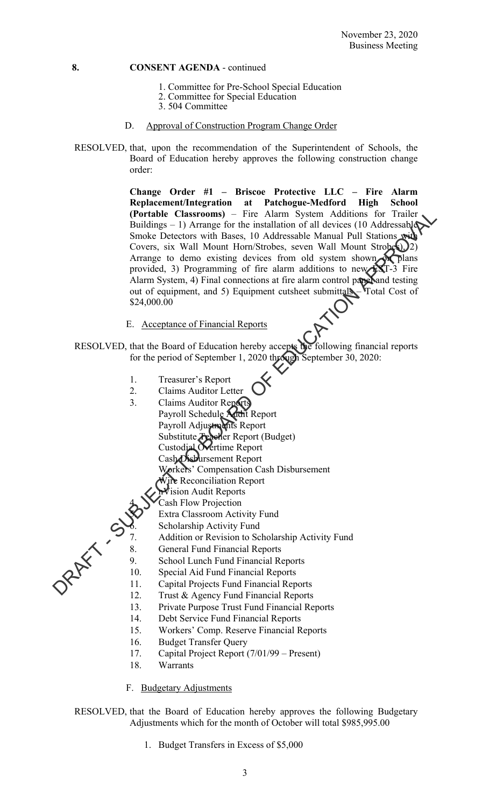- 1. Committee for Pre-School Special Education
- 2. Committee for Special Education
- 3. 504 Committee
- D. Approval of Construction Program Change Order
- RESOLVED, that, upon the recommendation of the Superintendent of Schools, the Board of Education hereby approves the following construction change order:

**Change Order #1 – Briscoe Protective LLC – Fire Alarm Replacement/Integration at Patchogue-Medford High School (Portable Classrooms)** – Fire Alarm System Additions for Trailer Buildings – 1) Arrange for the installation of all devices (10 Addressable Smoke Detectors with Bases, 10 Addressable Manual Pull Stations with Covers, six Wall Mount Horn/Strobes, seven Wall Mount Strobes),  $(2)$ Arrange to demo existing devices from old system shown of plans provided, 3) Programming of fire alarm additions to new  $\mathbb{X}$ T-3 Fire Alarm System, 4) Final connections at fire alarm control paper and testing out of equipment, and 5) Equipment cutsheet submittals – Total Cost of \$24,000.00 (Portiole Classrooms) – Fire Alamn System Additions for Trailer<br>
Huidings – 1) Arrange for the installation of all devices (10 Addressabiler<br>
Simble Dretons with Bases, 10 Addressabiler<br>
Covers, six Wall Mount Hom/Strokes

E. Acceptance of Financial Reports

 RESOLVED, that the Board of Education hereby accepts the following financial reports for the period of September 1, 2020 through September 30, 2020:

- 1. Treasurer's Report
- 2. Claims Auditor Letter
- 3. Claims Auditor Reports
	- Payroll Schedule Audit Report Payroll Adjustments Report Substitute Teacher Report (Budget) Custodial Overtime Report Cash Disbursement Report Workers' Compensation Cash Disbursement
		- Wire Reconciliation Report Vision Audit Reports
		- Cash Flow Projection
		- Extra Classroom Activity Fund
		- Scholarship Activity Fund
	- 7. Addition or Revision to Scholarship Activity Fund<br>8. General Fund Financial Reports
		- General Fund Financial Reports
	- 9. School Lunch Fund Financial Reports
	- 10. Special Aid Fund Financial Reports
	- 11. Capital Projects Fund Financial Reports
	- 12. Trust & Agency Fund Financial Reports
	- 13. Private Purpose Trust Fund Financial Reports
- 14. Debt Service Fund Financial Reports
- 15. Workers' Comp. Reserve Financial Reports
- 16. Budget Transfer Query
- 17. Capital Project Report (7/01/99 Present)
- 18. Warrants
- F. Budgetary Adjustments

 RESOLVED, that the Board of Education hereby approves the following Budgetary Adjustments which for the month of October will total \$985,995.00

1. Budget Transfers in Excess of \$5,000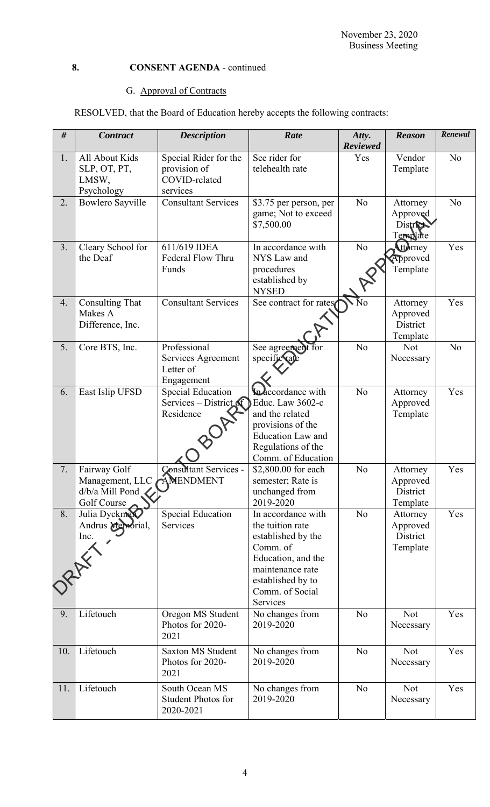## G. Approval of Contracts

RESOLVED, that the Board of Education hereby accepts the following contracts:

| $\#$ | <b>Contract</b>                                                             | <b>Description</b>                                                  | Rate                                                                                                                                                                   | Atty.<br><b>Reviewed</b> | <b>Reason</b>                                | Renewal        |
|------|-----------------------------------------------------------------------------|---------------------------------------------------------------------|------------------------------------------------------------------------------------------------------------------------------------------------------------------------|--------------------------|----------------------------------------------|----------------|
| 1.   | All About Kids<br>SLP, OT, PT,<br>LMSW,<br>Psychology                       | Special Rider for the<br>provision of<br>COVID-related<br>services  | See rider for<br>telehealth rate                                                                                                                                       | Yes                      | Vendor<br>Template                           | N <sub>o</sub> |
| 2.   | <b>Bowlero Sayville</b>                                                     | <b>Consultant Services</b>                                          | \$3.75 per person, per<br>game; Not to exceed<br>\$7,500.00                                                                                                            | N <sub>o</sub>           | Attorney<br>Approved<br>District<br>Template | N <sub>o</sub> |
| 3.   | Cleary School for<br>the Deaf                                               | 611/619 IDEA<br>Federal Flow Thru<br>Funds                          | In accordance with<br>NYS Law and<br>procedures<br>established by<br><b>NYSED</b>                                                                                      | N <sub>o</sub>           | ttorney<br>Approved<br>Template              | Yes            |
| 4.   | <b>Consulting That</b><br>Makes A<br>Difference, Inc.                       | <b>Consultant Services</b>                                          | See contract for rates                                                                                                                                                 | $\overline{\text{No}}$   | Attorney<br>Approved<br>District<br>Template | Yes            |
| 5.   | Core BTS, Inc.                                                              | Professional<br>Services Agreement<br>Letter of<br>Engagement       | See agreement<br>specific rat                                                                                                                                          | N <sub>o</sub>           | <b>Not</b><br>Necessary                      | N <sub>o</sub> |
| 6.   | East Islip UFSD                                                             | Special Education<br>Services – District $\mathcal{F}$<br>Residence | Indecordance with<br>Educ. Law 3602-c<br>and the related<br>provisions of the<br><b>Education Law and</b><br>Regulations of the<br>Comm. of Education                  | N <sub>o</sub>           | Attorney<br>Approved<br>Template             | Yes            |
| 7.   | Fairway Golf<br>Management, LLC AMENDMENT<br>d/b/a Mill Pond<br>Golf Course | <b>Consultant Services -</b>                                        | \$2,800.00 for each<br>semester; Rate is<br>unchanged from<br>2019-2020                                                                                                | N <sub>o</sub>           | Attorney<br>Approved<br>District<br>Template | Yes            |
| 8.   | Julia Dyckman<br>Andrus Memorial,<br>Inc.                                   | <b>Special Education</b><br>Services                                | In accordance with<br>the tuition rate<br>established by the<br>Comm. of<br>Education, and the<br>maintenance rate<br>established by to<br>Comm. of Social<br>Services | N <sub>o</sub>           | Attorney<br>Approved<br>District<br>Template | Yes            |
| 9.   | Lifetouch                                                                   | Oregon MS Student<br>Photos for 2020-<br>2021                       | No changes from<br>2019-2020                                                                                                                                           | N <sub>o</sub>           | <b>Not</b><br>Necessary                      | Yes            |
| 10.  | Lifetouch                                                                   | <b>Saxton MS Student</b><br>Photos for 2020-<br>2021                | No changes from<br>2019-2020                                                                                                                                           | N <sub>o</sub>           | Not<br>Necessary                             | Yes            |
| 11.  | Lifetouch                                                                   | South Ocean MS<br><b>Student Photos for</b><br>2020-2021            | No changes from<br>2019-2020                                                                                                                                           | N <sub>o</sub>           | <b>Not</b><br>Necessary                      | Yes            |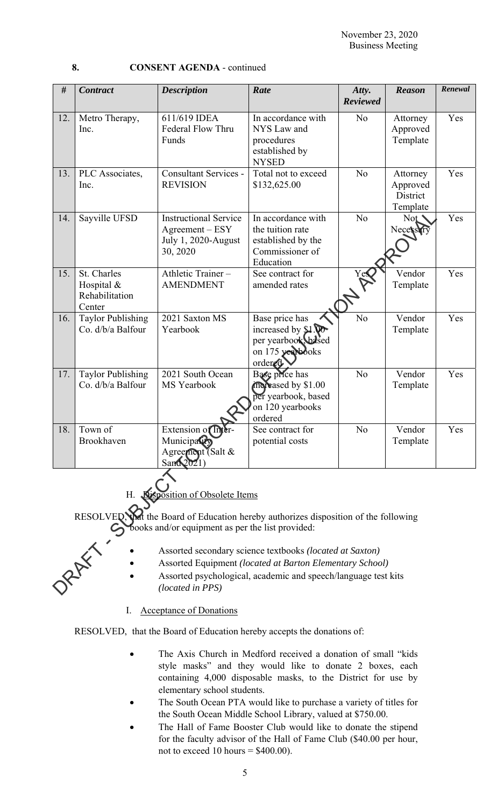| #                                                                                                                                                   | <b>Contract</b>                                                                                                                                                                                                       | <b>Description</b>                                                                   | Rate                                                                                         | Atty.<br><b>Reviewed</b> | <b>Reason</b>                                | Renewal |  |  |  |  |
|-----------------------------------------------------------------------------------------------------------------------------------------------------|-----------------------------------------------------------------------------------------------------------------------------------------------------------------------------------------------------------------------|--------------------------------------------------------------------------------------|----------------------------------------------------------------------------------------------|--------------------------|----------------------------------------------|---------|--|--|--|--|
| 12.                                                                                                                                                 | Metro Therapy,<br>Inc.                                                                                                                                                                                                | 611/619 IDEA<br>Federal Flow Thru<br>Funds                                           | In accordance with<br>NYS Law and<br>procedures<br>established by<br><b>NYSED</b>            | No                       | Attorney<br>Approved<br>Template             | Yes     |  |  |  |  |
| 13.                                                                                                                                                 | PLC Associates,<br>Inc.                                                                                                                                                                                               | <b>Consultant Services -</b><br><b>REVISION</b>                                      | Total not to exceed<br>\$132,625.00                                                          | N <sub>o</sub>           | Attorney<br>Approved<br>District<br>Template | Yes     |  |  |  |  |
| 14.                                                                                                                                                 | Sayville UFSD                                                                                                                                                                                                         | <b>Instructional Service</b><br>$Agreement - ESY$<br>July 1, 2020-August<br>30, 2020 | In accordance with<br>the tuition rate<br>established by the<br>Commissioner of<br>Education | N <sub>o</sub>           | Not<br>Necessary                             | Yes     |  |  |  |  |
| 15.                                                                                                                                                 | St. Charles<br>Hospital &<br>Rehabilitation<br>Center                                                                                                                                                                 | Athletic Trainer-<br><b>AMENDMENT</b>                                                | See contract for<br>amended rates                                                            | Yes                      | Vendor<br>Template                           | Yes     |  |  |  |  |
| 16.                                                                                                                                                 | <b>Taylor Publishing</b><br>Co. d/b/a Balfour                                                                                                                                                                         | 2021 Saxton MS<br>Yearbook                                                           | Base price has<br>increased by $$1$ .<br>per yearbook based<br>on 175 yearbooks<br>ordered.  | N <sub>o</sub>           | Vendor<br>Template                           | Yes     |  |  |  |  |
| 17.                                                                                                                                                 | <b>Taylor Publishing</b><br>Co. d/b/a Balfour                                                                                                                                                                         | 2021 South Ocean<br>MS Yearbook                                                      | Base price has<br>moreased by \$1.00<br>per yearbook, based<br>on 120 yearbooks<br>ordered   | N <sub>o</sub>           | Vendor<br>Template                           | Yes     |  |  |  |  |
| 18.                                                                                                                                                 | Town of<br>Brookhaven                                                                                                                                                                                                 | Extension of Int<br>Municipatity<br>Agreement (Salt &<br>San62021                    | See contract for<br>potential costs                                                          | No                       | Vendor<br>Template                           | Yes     |  |  |  |  |
| <b>Nisposition of Obsolete Items</b><br>Η.                                                                                                          |                                                                                                                                                                                                                       |                                                                                      |                                                                                              |                          |                                              |         |  |  |  |  |
| <b>RESOLVED</b> .<br>that the Board of Education hereby authorizes disposition of the following<br>books and/or equipment as per the list provided: |                                                                                                                                                                                                                       |                                                                                      |                                                                                              |                          |                                              |         |  |  |  |  |
|                                                                                                                                                     | JRAFY'S<br>Assorted secondary science textbooks (located at Saxton)<br>Assorted Equipment (located at Barton Elementary School)<br>Assorted psychological, academic and speech/language test kits<br>(located in PPS) |                                                                                      |                                                                                              |                          |                                              |         |  |  |  |  |

- Assorted secondary science textbooks *(located at Saxton)*
- Assorted Equipment *(located at Barton Elementary School)*
- Assorted psychological, academic and speech/language test kits *(located in PPS)*

## I. Acceptance of Donations

RESOLVED, that the Board of Education hereby accepts the donations of:

- The Axis Church in Medford received a donation of small "kids style masks" and they would like to donate 2 boxes, each containing 4,000 disposable masks, to the District for use by elementary school students.
- The South Ocean PTA would like to purchase a variety of titles for the South Ocean Middle School Library, valued at \$750.00.
- The Hall of Fame Booster Club would like to donate the stipend for the faculty advisor of the Hall of Fame Club (\$40.00 per hour, not to exceed 10 hours  $=$  \$400.00).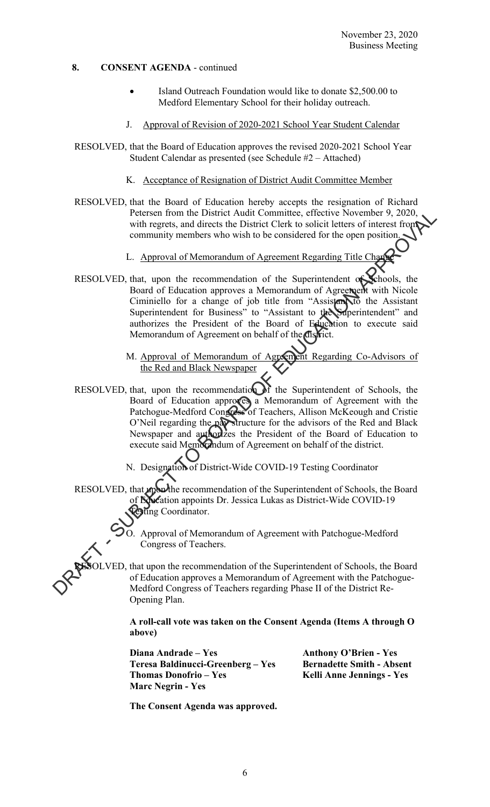- Island Outreach Foundation would like to donate \$2,500.00 to Medford Elementary School for their holiday outreach.
- J. Approval of Revision of 2020-2021 School Year Student Calendar
- RESOLVED, that the Board of Education approves the revised 2020-2021 School Year Student Calendar as presented (see Schedule #2 – Attached)
	- K. Acceptance of Resignation of District Audit Committee Member
- RESOLVED, that the Board of Education hereby accepts the resignation of Richard Petersen from the District Audit Committee, effective November 9, 2020, with regrets, and directs the District Clerk to solicit letters of interest from community members who wish to be considered for the open position.
	- L. Approval of Memorandum of Agreement Regarding Title Change
- RESOLVED, that, upon the recommendation of the Superintendent of Schools, the Board of Education approves a Memorandum of Agreement with Nicole Ciminiello for a change of job title from "Assistant to the Assistant Superintendent for Business" to "Assistant to the Superintendent" and authorizes the President of the Board of Education to execute said Memorandum of Agreement on behalf of the district.
	- M. Approval of Memorandum of Agreement Regarding Co-Advisors of the Red and Black Newspaper
- RESOLVED, that, upon the recommendation of the Superintendent of Schools, the Board of Education approves a Memorandum of Agreement with the Patchogue-Medford Congress of Teachers, Allison McKeough and Cristie O'Neil regarding the pay structure for the advisors of the Red and Black Newspaper and authorizes the President of the Board of Education to execute said Memorandum of Agreement on behalf of the district. Peters from the District Audit Committee, effective November 9, 2020<br>with regrets, and directs the District Clerk to solicit letters of interest from<br>community members who wish to be considered for the open position<br>commu
	- N. Designation of District-Wide COVID-19 Testing Coordinator
	- RESOLVED, that upon the recommendation of the Superintendent of Schools, the Board of Education appoints Dr. Jessica Lukas as District-Wide COVID-19 esting Coordinator.

O. Approval of Memorandum of Agreement with Patchogue-Medford Congress of Teachers.

VED, that upon the recommendation of the Superintendent of Schools, the Board of Education approves a Memorandum of Agreement with the Patchogue-Medford Congress of Teachers regarding Phase II of the District Re-Opening Plan.

**A roll-call vote was taken on the Consent Agenda (Items A through O above)** 

**Diana Andrade – Yes Anthony O'Brien - Yes Teresa Baldinucci-Greenberg – Yes Bernadette Smith - Absent**  Thomas Donofrio – Yes **Kelli Anne Jennings - Yes Marc Negrin - Yes** 

 **The Consent Agenda was approved.**